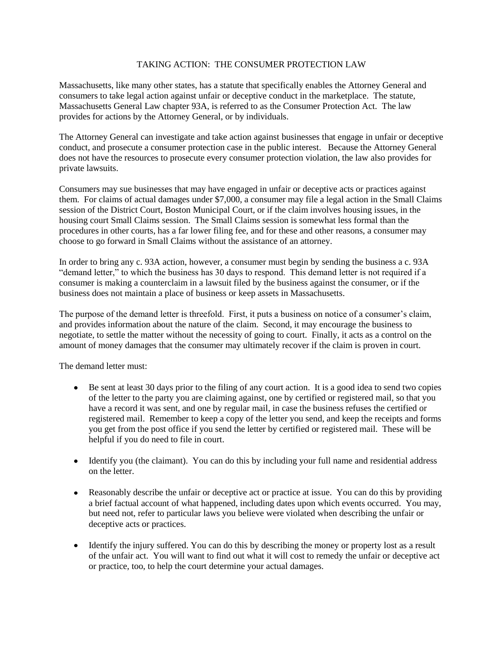## TAKING ACTION: THE CONSUMER PROTECTION LAW

Massachusetts, like many other states, has a statute that specifically enables the Attorney General and consumers to take legal action against unfair or deceptive conduct in the marketplace. The statute, Massachusetts General Law chapter 93A, is referred to as the Consumer Protection Act. The law provides for actions by the Attorney General, or by individuals.

The Attorney General can investigate and take action against businesses that engage in unfair or deceptive conduct, and prosecute a consumer protection case in the public interest. Because the Attorney General does not have the resources to prosecute every consumer protection violation, the law also provides for private lawsuits.

Consumers may sue businesses that may have engaged in unfair or deceptive acts or practices against them. For claims of actual damages under \$7,000, a consumer may file a legal action in the Small Claims session of the District Court, Boston Municipal Court, or if the claim involves housing issues, in the housing court Small Claims session. The Small Claims session is somewhat less formal than the procedures in other courts, has a far lower filing fee, and for these and other reasons, a consumer may choose to go forward in Small Claims without the assistance of an attorney.

In order to bring any c. 93A action, however, a consumer must begin by sending the business a c. 93A "demand letter," to which the business has 30 days to respond. This demand letter is not required if a consumer is making a counterclaim in a lawsuit filed by the business against the consumer, or if the business does not maintain a place of business or keep assets in Massachusetts.

The purpose of the demand letter is threefold. First, it puts a business on notice of a consumer's claim, and provides information about the nature of the claim. Second, it may encourage the business to negotiate, to settle the matter without the necessity of going to court. Finally, it acts as a control on the amount of money damages that the consumer may ultimately recover if the claim is proven in court.

The demand letter must:

- Be sent at least 30 days prior to the filing of any court action. It is a good idea to send two copies of the letter to the party you are claiming against, one by certified or registered mail, so that you have a record it was sent, and one by regular mail, in case the business refuses the certified or registered mail. Remember to keep a copy of the letter you send, and keep the receipts and forms you get from the post office if you send the letter by certified or registered mail. These will be helpful if you do need to file in court.
- Identify you (the claimant). You can do this by including your full name and residential address on the letter.
- Reasonably describe the unfair or deceptive act or practice at issue. You can do this by providing  $\bullet$ a brief factual account of what happened, including dates upon which events occurred. You may, but need not, refer to particular laws you believe were violated when describing the unfair or deceptive acts or practices.
- Identify the injury suffered. You can do this by describing the money or property lost as a result  $\bullet$ of the unfair act. You will want to find out what it will cost to remedy the unfair or deceptive act or practice, too, to help the court determine your actual damages.